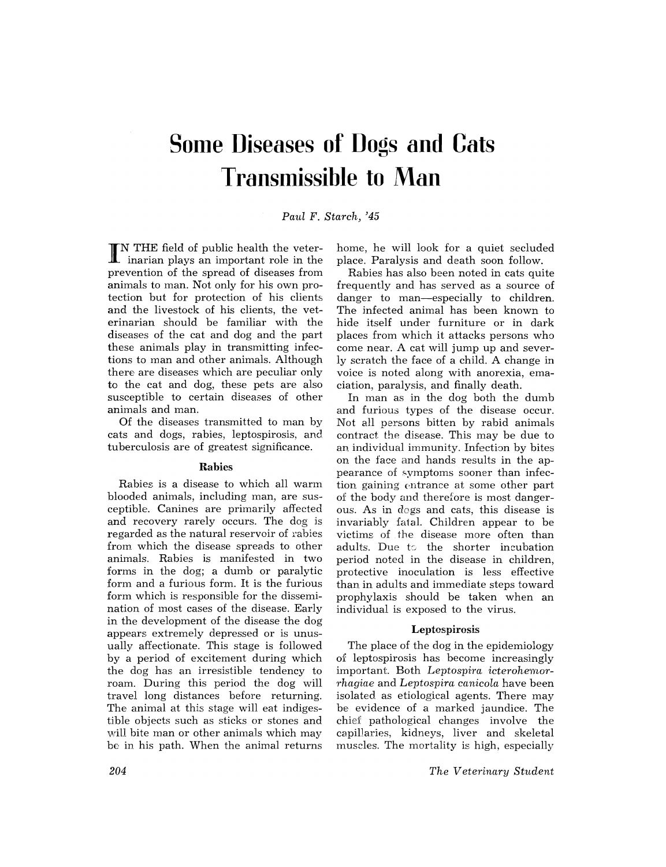# **Some Diseases of Dogs and Cats Transmissible to Man**

# *Paul* F. *Starch, '45*

IN THE field of public health the veter-<br>inarian plays an important role in the prevention of the spread of diseases from animals to man. Not only for his own protection but for protection of his clients and the livestock of his clients, the veterinarian should be familiar with the diseases of the cat and dog and the part these animals play in transmitting infections to man and other animals. Although there are diseases which are peculiar only to the cat and dog, these pets are also susceptible to certain diseases of other animals and man.

Of the diseases transmitted to man by cats and dogs, rabies, leptospirosis, and tuberculosis are of greatest significance.

# Rabies

Rabies is a disease to which all warm blooded animals, including man, are susceptible. Canines are primarily affected and recovery rarely occurs. The dog is regarded as the natural reservoir of rabies from which the disease spreads to other animals. Rabies is manifested in two forms in the dog; a dumb or paralytic form and a furious form. It is the furious form which is responsible for the dissemination of most cases of the disease. Early in the development of the disease the dog appears extremely depressed or is unusually affectionate. This stage is followed by a period of excitement during which the dog has an irresistible tendency to roam. During this period the dog will travel long distances before returning. The animal at this stage will eat indigestible objects such as sticks or stones and will bite man or other animals which may be in his path. When the animal returns home, he will look for a quiet secluded place. Paralysis and death soon follow.

Rabies has also been noted in cats quite frequently and has served as a source of danger to man-especially to children. The infected animal has been known to hide itself under furniture or in dark places from which it attacks persons who come near. A cat will jump up and severly scratch the face of a child. A change in voice is noted along with anorexia, emaciation, paralysis, and finally death.

In man as in the dog both the dumb and furious types of the disease occur. Not all persons bitten by rabid animals contract the disease. This may be due to an individual immunity. Infection by bites on the face and hands results in the appearance of symptoms sooner than infection gaining entrance at some other part of the body and therefore is most dangerous. As in dogs and cats, this disease is invariably fatal. Children appear to be victims of the disease more often than adults. Due to the shorter incubation period noted in the disease in children, protective inoculation is less effective than in adults and immediate steps toward prophy laxis should be taken when an individual is exposed to the virus.

## Leptospirosis

The place of the dog in the epidemiology of leptospirosis has become increasingly important. Both *Leptospira icterohemorrhagiae* and *Leptospira canicola* have been isolated. as etiological agents. There may be evidence of a marked jaundice. The chief pathological changes involve the capillaries, kidneys, liver and skeletal muscles. The mortality is high, especially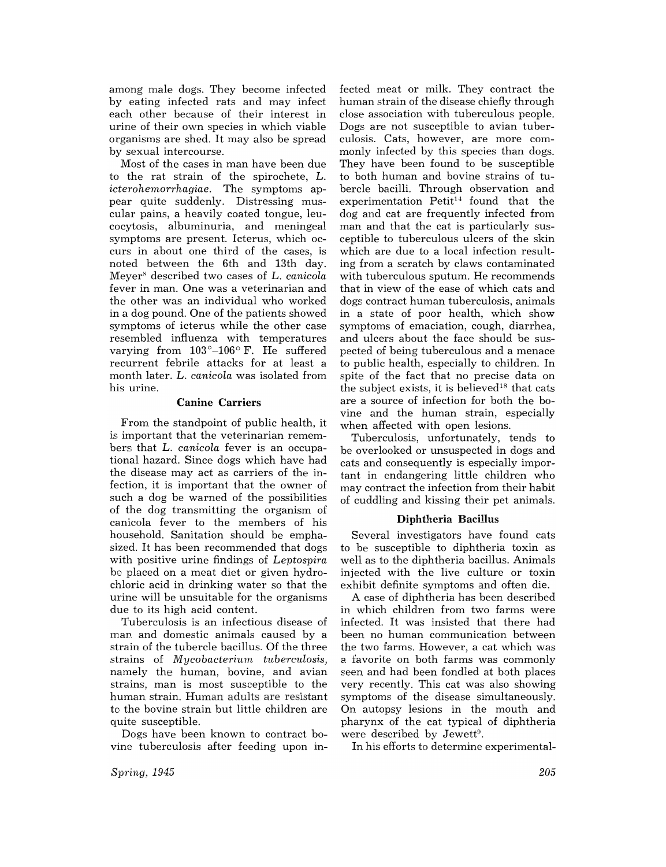among male dogs. They become infected by eating infected rats and may infect each other because of their interest in urine of their own species in which viable organisms are shed. It may also be spread by sexual intercourse.

Most of the cases in man have been due to the rat strain of the spirochete, L. *icterohemorrhagiae.* The symptoms appear quite suddenly. Distressing muscular pains, a heavily coated tongue, leucocytosis, albuminuria, and meningeal symptoms are present. Icterus, which occurs in about one third of the cases, is noted between the 6th and 13th day. Meyer<sup>s</sup> described two cases of L. *canicola* fever in man. One was a veterinarian and the other was an individual who worked in a dog pound. One of the patients showed symptoms of icterus while the other case resembled influenza with temperatures varying from  $103^{\circ}-106^{\circ}$  F. He suffered recurrent febrile attacks for at least a month later. L. *canicola* was isolated from his urine.

# Canine Carriers

From the standpoint of public health, it is important that the veterinarian remembers that L. *canicola* fever is an occupational hazard. Since dogs which have had the disease may act as carriers of the infection, it is important that the owner of such a dog be warned of the possibilities of the dog transmitting the organism of canicola fever to the members of his household. Sanitation should be emphasized. It has been recommended that dogs with positive urine findings of *Leptospira*  be placed on a meat diet or given hydrochloric acid in drinking water so that the urine will be unsuitable for the organisms due to its high acid content.

Tuberculosis is an infectious disease of man and domestic animals caused by a strain of the tubercle bacillus. Of the three strains of *Mycobacterium tuberculosis,*  namely the human, bovine, and avian strains, man is most susceptible to the human strain. Human adults are resistant to the bovine strain but little children are quite susceptible.

Dogs have been known to contract bovine tuberculosis after feeding upon infected meat or milk. They contract the human strain of the disease chiefly through close association with tuberculous people. Dogs are not susceptible to avian tuberculosis. Cats, however, are more commonly infected by this species than dogs. They have been found to be susceptible to both human and bovine strains of tubercle bacilli. Through observation and experimentation  $Petit^{14}$  found that the dog and cat are frequently infected from man and that the cat is particularly susceptible to tuberculous ulcers of the skin which are due to a local infection resulting from a scratch by claws contaminated with tuberculous sputum. He recommends that in view of the ease of which cats and dogs contract human tuberculosis, animals in a state of poor health, which show symptoms of emaciation, cough, diarrhea, and ulcers about the face should be suspected of being tuberculous and a menace to public health, especially to children. In spite of the fact that no precise data on the subject exists, it is believed<sup>18</sup> that cats are a source of infection for both the bovine and the human strain, especially when affected with open lesions.

Tuberculosis, unfortunately, tends to be overlooked or unsuspected in dogs and cats and consequently is especially important in endangering little children who may contract the infection from their habit of cuddling and kissing their pet animals.

## Diphtheria Bacillus

Several investigators have found cats to be susceptible to diphtheria toxin as well as to the diphtheria bacillus. Animals injected with the live culture or toxin exhibit definite symptoms and often die.

A case of diphtheria has been described in which children from two farms were infected. It was insisted that there had been no human communication between the two farms. However, a cat which was 2. favorite on both farms was commonly seen and had been fondled at both places very recently. This cat was also showing symptoms of the disease simultaneously. On autopsy lesions in the mouth and pharynx of the cat typical of diphtheria were described by Jewett<sup>9</sup>.

In his efforts to determine experimental-

*Spring, 1945*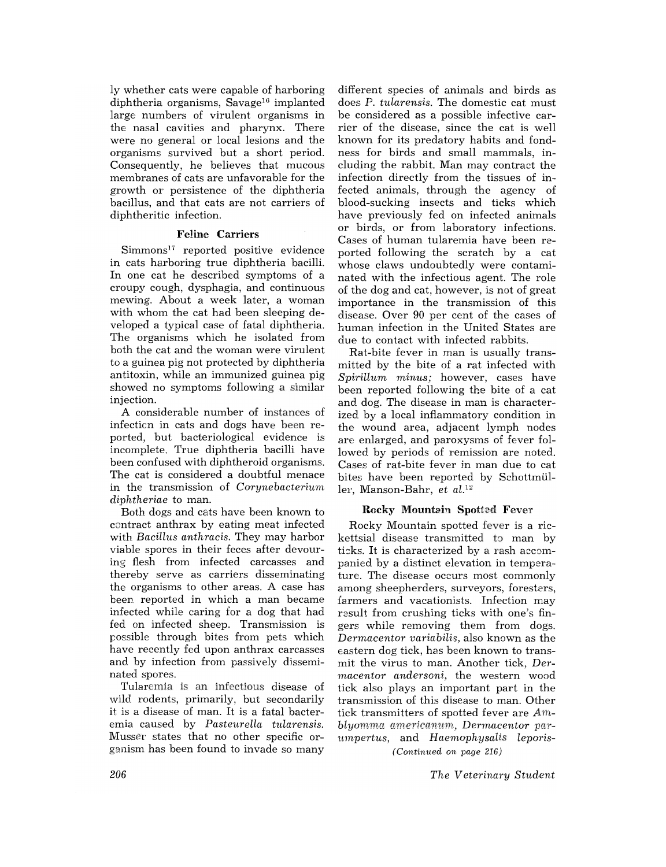ly whether cats were capable of harboring diphtheria organisms, Savage<sup>16</sup> implanted large numbers of virulent organisms in the nasal cavities and pharynx. There were no general or local lesions and the organisms survived but a short period. Consequently, he believes that mucous membranes of cats are unfavorable for the growth or persistence of the diphtheria bacillus, and that cats are not carriers of diphtheritic infection.

# Feline Carriers

Simmons<sup>17</sup> reported positive evidence in cats harboring true diphtheria bacilli. In one cat he described symptoms of a croupy cough, dysphagia, and continuous mewing. About a week later, a woman with whom the cat had been sleeping developed a typical case of fatal diphtheria. The organisms which he isolated from both the cat and the woman were virulent to a guinea pig not protected by diphtheria antitoxin, while an immunized guinea pig showed no symptoms following a similar injection.

A considerable number of instances of infecticn in cats and dogs have been reported, but bacteriological evidence is incomplete. True diphtheria bacilli have been confused with diphtheroid organisms. The cat is considered a doubtful menace in the transmission of *Corynebacterium diphtheriae* to man.

Both dogs and cats have been known to contract anthrax by eating meat infected with *Bacillus anthracis.* They may harbor viable spores in their feces after devouring flesh from infected carcasses and thereby serve as carriers disseminating the organisms to other areas. A case has been reported in which a man became infected while caring for a dog that had fed on infected sheep. Transmission is possible through bites from pets which have recently fed upon anthrax carcasses and by infection from passively disseminated spores.

Tularemia is an infectious disease of wild rodents, primarily, but secondarily it is a disease of man. It is a fatal bacteremia caused by *Pasteurella tnlarensis.*  Musser states that no other specific organism has been found to invade so many

different species of animals and birds as does P. *tularensis.* The domestic cat must be considered as a possible infective carrier of the disease, since the cat is well known for its predatory habits and fondness for birds and small mammals, including the rabbit. Man may contract the infection directly from the tissues of infected animals, through the agency of blood-sucking insects and ticks which have previously fed on infected animals or birds, or from laboratory infections. Cases of human tularemia have been reported following the scratch by a cat whose claws undoubtedly were contaminated with the infectious agent. The role of the dog and cat, however, is not of great importance in the transmission of this disease. Over 90 per cent of the cases of human infection in the United States are due to contact with infected rabbits.

Rat-bite fever in man is usually transmitted by the bite of a rat infected with *Spirillum minus;* however, cases have been reported following the bite of a cat and dog. The disease in man is characterized by a local inflammatory condition in the wound area, adjacent lymph nodes are enlarged, and paroxysms of fever followed by periods of remission are noted. Cases of rat-bite fever in man due to cat bites have been reported by Schottmüllei', Manson-Bahr, et al.<sup>12</sup>

## Rocky Mountain Spotted Fever

Rocky Mountain spotted fever is a rickettsial disease transmitted to man by ticks. It is characterized by a rash accompanied by a distinct elevation in temperature. The disease occurs most commonly among sheepherders, surveyors, foresters, farmers and vacationists. Infection may result from crushing ticks with one's fingers while removing them from dogs. *Dermacentor variabilis,* also known as the eastern dog tick, has been known to transmit the virus to man. Another tick, *Dermacentor andersoni,* the western wood tick also plays an important part in the transmission of this disease to man. Other tick transmitters of spotted fever are *Amblyomma americannm, Dermacentor parumpertus,* and *Haemaphysalis leporis- (Continued on page 216)* 

*The Veterinary Student*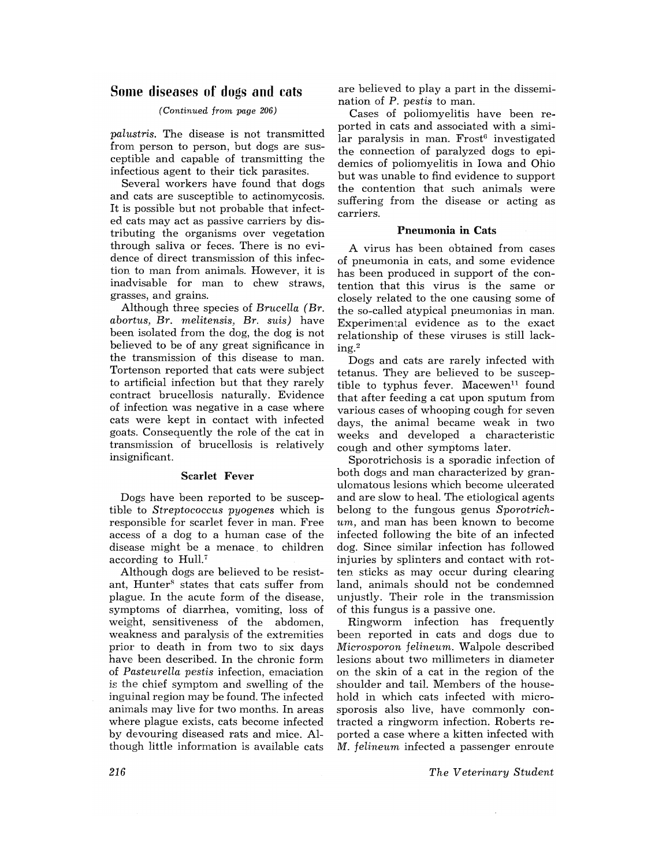# **Some diseases of dngs and cats**

# *(Continued from page 206)*

*palustris.* The disease is not transmitted from person to person, but dogs are susceptible and capable of transmitting the infectious agent to their tick parasites.

Several workers have found that dogs and cats are susceptible to actinomycosis. It is possible but not probable that infected cats may act as passive carriers by distributing the organisms over vegetation through saliva or feces. There is no evidence of direct transmission of this infection to man from animals. However, it is inadvisable for man to chew straws, grasses, and grains.

Although three species of *Brucella (Br. abortus, Br. melitensis, Br. suis)* have been isolated from the dog, the dog is not believed to be of any great significance in the transmission of this disease to man. Tortenson reported that cats were subject to artificial infection but that they rarely contract brucellosis naturally. Evidence of infection was negative in a case where cats were kept in contact with infected goats. Consequently the role of the cat in transmission of brucellosis is relatively insignificant.

## Scarlet Fever

Dogs have been reported to be susceptible to *Streptococcus pyogenes* which is responsible for scarlet fever in man. Free access of a dog to a human case of the disease might be a menace. to children according to Hull.'

Although dogs are believed to be resistant, Hunter<sup>8</sup> states that cats suffer from plague. In the acute form of the disease, symptoms of diarrhea, vomiting, loss of weight, sensitiveness of the abdomen, weakness and paralysis of the extremities prior to death in from two to six days have been described. In the chronic form of *Pasteurella pestis* infection, emaciation is the chief symptom and swelling of the inguinal region may be found. The infected animals may live for two months. In areas where plague exists, cats become infected by devouring diseased rats and mice. Although little information is available cats are believed to play a part in the dissemination of P. *pestis* to man.

Cases of poliomyelitis have been reported in cats and associated with a simi $lar$  paralysis in man.  $Frost<sup>6</sup>$  investigated the connection of paralyzed dogs to epidemics of poliomyelitis in Iowa and Ohio but was unable to find evidence to support the contention that such animals were suffering from the disease or acting as carriers.

## **Pneumonia in** Cats

A virus has been obtained from cases of pneumonia in cats, and some evidence has been produced in support of the contention that this virus is the same or closely related to the one causing some of the so-called atypical pneumonias in man. Experimental evidence as to the exact relationship of these viruses is still lacking. <sup>2</sup>

Dogs and cats are rarely infected with tetanus. They are believed to be susceptible to typhus fever. Macewen<sup>11</sup> found that after feeding a cat upon sputum from various cases of whooping cough for seven days, the animal became weak in two weeks and developed a characteristic cough and other symptoms later.

Sporotrichosis is a sporadic infection of both dogs and man characterized by granulomatous lesions which become ulcerated and are slow to heal. The etiological agents belong to the fungous genus *Sporotrichum,* and man has been known to become infected following the bite of an infected dog. Since similar infection has followed injuries by splinters and contact with rotten sticks as may occur during clearing land, animals should not be condemned unjustly. Their role in the transmission of this fungus is a passive one.

Ringworm infection has frequently been reported in cats and dogs due to *Microsporon felineum.* Walpole described lesions about two millimeters in diameter on the skin of a cat in the region of the shoulder and tail. Members of the household in which cats infected with microsporosis also live, have commonly contracted a ringworm infection. Roberts reported a case where a kitten infected with M. *felineum* infected a passenger enroute

*The Veterinary Student*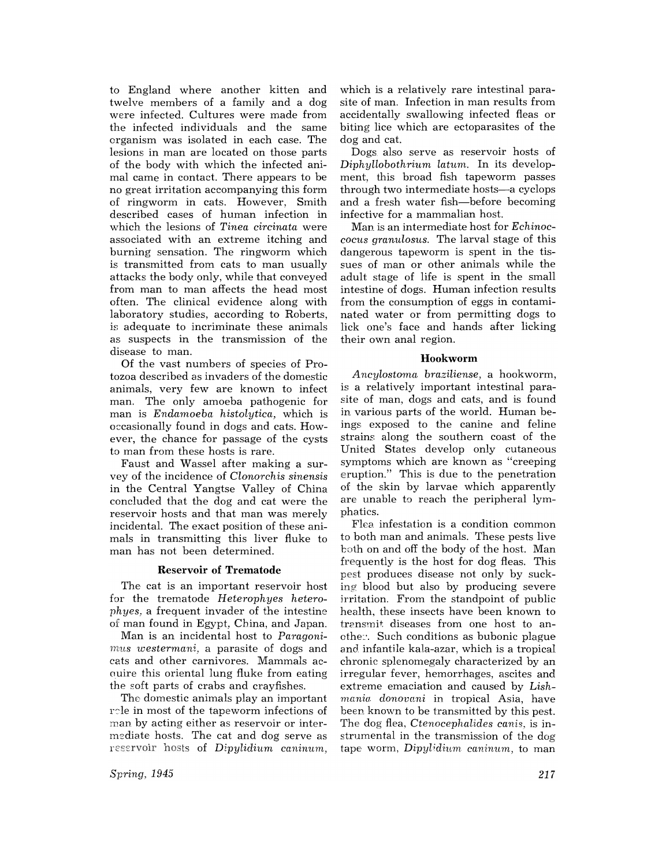to England where another kitten and twelve members of a family and a dog were infected. Cultures were made from the infected individuals and the same organism was isolated in each case. The lesions in man are located on those parts of the body with which the infected animal came in contact. There appears to be no great irritation accompanying this form of ringworm in cats. However, Smith described cases of human infection in which the lesions of *Tinea circinata* were associated with an extreme itching and burning sensation. The ringworm which is transmitted from cats to man usually attacks the body only, while that conveyed from man to man affects the head most often. The clinical evidence along with laboratory studies, according to Roberts, is adequate to incriminate these animals as suspects in the transmission of the disease to man.

Of the vast numbers of species of Protozoa described as invaders of the domestic animals, very few are known to infect man. The only amoeba pathogenic for man is *Endamoeba histolytica,* which is occasionally found in dogs and cats. However, the chance for passage of the cysts to man from these hosts is rare.

Faust and Wassel after making a survey of the incidence of *Clonorchis sinensis*  in the Central Yangtse Valley of China concluded that the dog and cat were the reservoir hosts and that man was merely incidental. The exact position of these animals in transmitting this liver fluke to man has not been determined.

# Reservoir of **Trematode**

The cat is an important reservoir host for the trematode *Heterophyes heterophyes,* a frequent invader of the intestine of man found in Egypt, China. and Japan.

Man is an incidental host to Paragoni*mus westermani,* a parasite of dogs and cats and other carnivores. Mammals ac-Guire this oriental lung fluke from eating the soft parts of crabs and crayfishes.

The domestic animals play an important rele in most of the tapeworm infections of man by acting either as reservoir or intermsdiate hosts. The cat and dog serve as reservoir hosts of *Dipylidium caninum*,

which is a relatively rare intestinal parasite of man. Infection in man results from accidentally swallowing infected fleas or biting lice which are ectoparasites of the dog and cat.

Dogs also serve as reservoir hosts of *Diphyllobothrium latum.* In its development, this broad fish tapeworm passes through two intermediate hosts-a cyclops and a fresh water fish-before becoming infective for a mammalian host.

Man is an intermediate host for *Echinoccocus granulosus.* The larval stage of this dangerous tapeworm is spent in the tissues of man or other animals while the adult stage of life is spent in the small intestine of dogs. Human infection results from the consumption of eggs in contaminated water or from permitting dogs to lick one's face and hands after licking their own anal region.

# **Hookworm**

*Ancylostoma. bra.ziliense.* a hookworm, is a relatively important intestinal parasite of man, dogs and cats, and is found in various parts of the world. Human beings exposed to the canine and feline straim: along the southern coast of the United States develop only cutaneous symptoms which are known as "creeping eruption." This is due to the penetration of the skin by larvae which apparently are unable to reach the peripheral lymphatics.

Flea. infestation is a condition common to both man and animals. These pests live both on and off the body of the host. Man frequently is the host for dog fleas. This pest produces disease not only by sucking blood but also by producing severe irritation. From the standpoint of public health. these insects have been known to transmit diseases from one host to anothe~'. Such conditions as bubonic plague and. infantile ka1a-azar. which is a tropical chronic splenomegaly characterized by an irregular fever, hemorrhages, ascites and extreme emaciation and caused by *Lishmania. donovani* in tropical Asia, have been known to be transmitted by this pest. The dog flea, *Ctenocephalides canis,* is instrumental in the transmission of the dog tape worm, *Dipylidium caninum*, to man